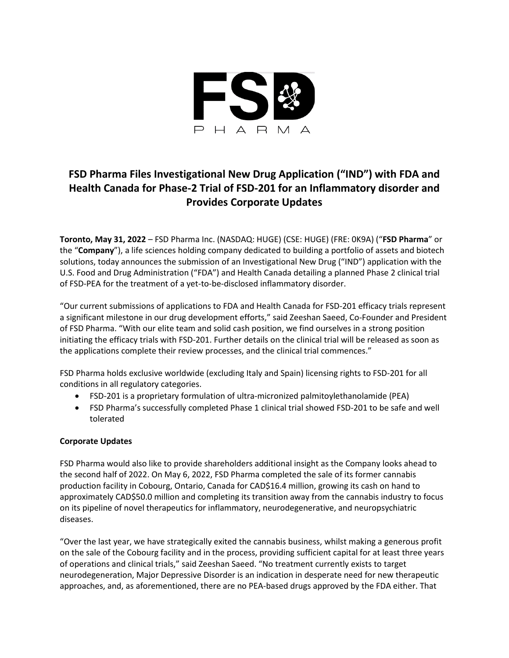

# **FSD Pharma Files Investigational New Drug Application ("IND") with FDA and Health Canada for Phase-2 Trial of FSD-201 for an Inflammatory disorder and Provides Corporate Updates**

**Toronto, May 31, 2022** – FSD Pharma Inc. (NASDAQ: HUGE) (CSE: HUGE) (FRE: 0K9A) ("**FSD Pharma**" or the "**Company**"), a life sciences holding company dedicated to building a portfolio of assets and biotech solutions, today announces the submission of an Investigational New Drug ("IND") application with the U.S. Food and Drug Administration ("FDA") and Health Canada detailing a planned Phase 2 clinical trial of FSD-PEA for the treatment of a yet-to-be-disclosed inflammatory disorder.

"Our current submissions of applications to FDA and Health Canada for FSD-201 efficacy trials represent a significant milestone in our drug development efforts," said Zeeshan Saeed, Co-Founder and President of FSD Pharma. "With our elite team and solid cash position, we find ourselves in a strong position initiating the efficacy trials with FSD-201. Further details on the clinical trial will be released as soon as the applications complete their review processes, and the clinical trial commences."

FSD Pharma holds exclusive worldwide (excluding Italy and Spain) licensing rights to FSD-201 for all conditions in all regulatory categories.

- FSD-201 is a proprietary formulation of ultra-micronized palmitoylethanolamide (PEA)
- FSD Pharma's successfully completed Phase 1 clinical trial showed FSD-201 to be safe and well tolerated

## **Corporate Updates**

FSD Pharma would also like to provide shareholders additional insight as the Company looks ahead to the second half of 2022. On May 6, 2022, FSD Pharma completed the sale of its former cannabis production facility in Cobourg, Ontario, Canada for CAD\$16.4 million, growing its cash on hand to approximately CAD\$50.0 million and completing its transition away from the cannabis industry to focus on its pipeline of novel therapeutics for inflammatory, neurodegenerative, and neuropsychiatric diseases.

"Over the last year, we have strategically exited the cannabis business, whilst making a generous profit on the sale of the Cobourg facility and in the process, providing sufficient capital for at least three years of operations and clinical trials," said Zeeshan Saeed. "No treatment currently exists to target neurodegeneration, Major Depressive Disorder is an indication in desperate need for new therapeutic approaches, and, as aforementioned, there are no PEA-based drugs approved by the FDA either. That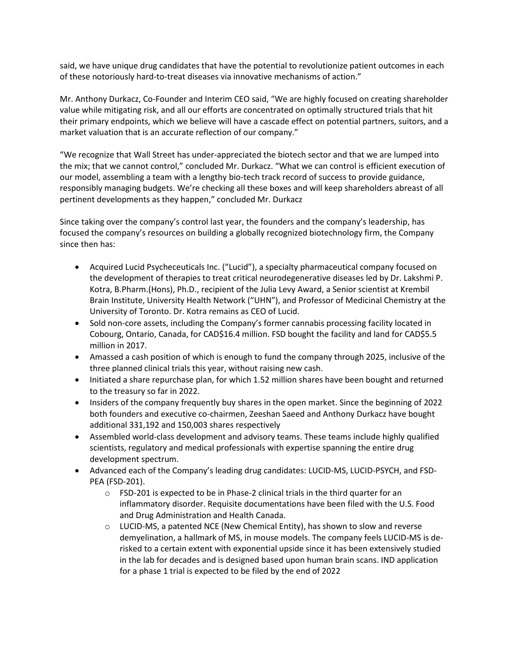said, we have unique drug candidates that have the potential to revolutionize patient outcomes in each of these notoriously hard-to-treat diseases via innovative mechanisms of action."

Mr. Anthony Durkacz, Co-Founder and Interim CEO said, "We are highly focused on creating shareholder value while mitigating risk, and all our efforts are concentrated on optimally structured trials that hit their primary endpoints, which we believe will have a cascade effect on potential partners, suitors, and a market valuation that is an accurate reflection of our company."

"We recognize that Wall Street has under-appreciated the biotech sector and that we are lumped into the mix; that we cannot control," concluded Mr. Durkacz. "What we can control is efficient execution of our model, assembling a team with a lengthy bio-tech track record of success to provide guidance, responsibly managing budgets. We're checking all these boxes and will keep shareholders abreast of all pertinent developments as they happen," concluded Mr. Durkacz

Since taking over the company's control last year, the founders and the company's leadership, has focused the company's resources on building a globally recognized biotechnology firm, the Company since then has:

- Acquired Lucid Psycheceuticals Inc. ("Lucid"), a specialty pharmaceutical company focused on the development of therapies to treat critical neurodegenerative diseases led by Dr. Lakshmi P. Kotra, B.Pharm.(Hons), Ph.D., recipient of the Julia Levy Award, a Senior scientist at Krembil Brain Institute, University Health Network ("UHN"), and Professor of Medicinal Chemistry at the University of Toronto. Dr. Kotra remains as CEO of Lucid.
- Sold non-core assets, including the Company's former cannabis processing facility located in Cobourg, Ontario, Canada, for CAD\$16.4 million. FSD bought the facility and land for CAD\$5.5 million in 2017.
- Amassed a cash position of which is enough to fund the company through 2025, inclusive of the three planned clinical trials this year, without raising new cash.
- Initiated a share repurchase plan, for which 1.52 million shares have been bought and returned to the treasury so far in 2022.
- Insiders of the company frequently buy shares in the open market. Since the beginning of 2022 both founders and executive co-chairmen, Zeeshan Saeed and Anthony Durkacz have bought additional 331,192 and 150,003 shares respectively
- Assembled world-class development and advisory teams. These teams include highly qualified scientists, regulatory and medical professionals with expertise spanning the entire drug development spectrum.
- Advanced each of the Company's leading drug candidates: LUCID-MS, LUCID-PSYCH, and FSD-PEA (FSD-201).
	- o FSD-201 is expected to be in Phase-2 clinical trials in the third quarter for an inflammatory disorder. Requisite documentations have been filed with the U.S. Food and Drug Administration and Health Canada.
	- $\circ$  LUCID-MS, a patented NCE (New Chemical Entity), has shown to slow and reverse demyelination, a hallmark of MS, in mouse models. The company feels LUCID-MS is derisked to a certain extent with exponential upside since it has been extensively studied in the lab for decades and is designed based upon human brain scans. IND application for a phase 1 trial is expected to be filed by the end of 2022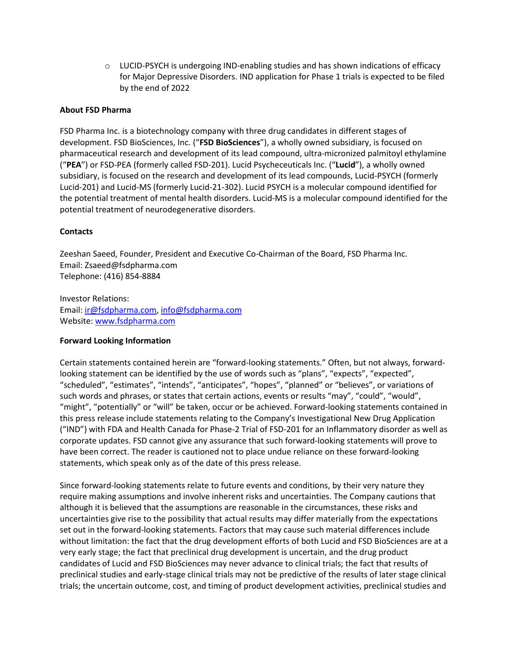$\circ$  LUCID-PSYCH is undergoing IND-enabling studies and has shown indications of efficacy for Major Depressive Disorders. IND application for Phase 1 trials is expected to be filed by the end of 2022

### **About FSD Pharma**

FSD Pharma Inc. is a biotechnology company with three drug candidates in different stages of development. FSD BioSciences, Inc. ("**FSD BioSciences**"), a wholly owned subsidiary, is focused on pharmaceutical research and development of its lead compound, ultra-micronized palmitoyl ethylamine ("**PEA**") or FSD-PEA (formerly called FSD-201). Lucid Psycheceuticals Inc. ("**Lucid**"), a wholly owned subsidiary, is focused on the research and development of its lead compounds, Lucid-PSYCH (formerly Lucid-201) and Lucid-MS (formerly Lucid-21-302). Lucid PSYCH is a molecular compound identified for the potential treatment of mental health disorders. Lucid-MS is a molecular compound identified for the potential treatment of neurodegenerative disorders.

#### **Contacts**

Zeeshan Saeed, Founder, President and Executive Co-Chairman of the Board, FSD Pharma Inc. Email: Zsaeed@fsdpharma.com Telephone: (416) 854-8884

Investor Relations: Email: [ir@fsdpharma.com,](mailto:ir@fsdpharma.com) [info@fsdpharma.com](mailto:info@fsdpharma.com) Website[: www.fsdpharma.com](http://www.fsdpharma.com/)

#### **Forward Looking Information**

Certain statements contained herein are "forward-looking statements." Often, but not always, forwardlooking statement can be identified by the use of words such as "plans", "expects", "expected", "scheduled", "estimates", "intends", "anticipates", "hopes", "planned" or "believes", or variations of such words and phrases, or states that certain actions, events or results "may", "could", "would", "might", "potentially" or "will" be taken, occur or be achieved. Forward-looking statements contained in this press release include statements relating to the Company's Investigational New Drug Application ("IND") with FDA and Health Canada for Phase-2 Trial of FSD-201 for an Inflammatory disorder as well as corporate updates. FSD cannot give any assurance that such forward-looking statements will prove to have been correct. The reader is cautioned not to place undue reliance on these forward-looking statements, which speak only as of the date of this press release.

Since forward-looking statements relate to future events and conditions, by their very nature they require making assumptions and involve inherent risks and uncertainties. The Company cautions that although it is believed that the assumptions are reasonable in the circumstances, these risks and uncertainties give rise to the possibility that actual results may differ materially from the expectations set out in the forward-looking statements. Factors that may cause such material differences include without limitation: the fact that the drug development efforts of both Lucid and FSD BioSciences are at a very early stage; the fact that preclinical drug development is uncertain, and the drug product candidates of Lucid and FSD BioSciences may never advance to clinical trials; the fact that results of preclinical studies and early-stage clinical trials may not be predictive of the results of later stage clinical trials; the uncertain outcome, cost, and timing of product development activities, preclinical studies and